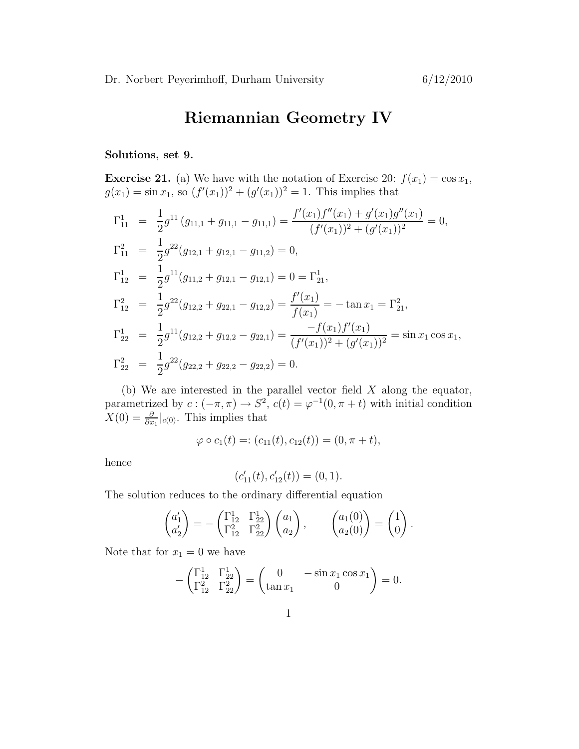## Riemannian Geometry IV

## Solutions, set 9.

**Exercise 21.** (a) We have with the notation of Exercise 20:  $f(x_1) = \cos x_1$ ,  $g(x_1) = \sin x_1$ , so  $(f'(x_1))^2 + (g'(x_1))^2 = 1$ . This implies that

$$
\Gamma_{11}^{1} = \frac{1}{2}g^{11}(g_{11,1} + g_{11,1} - g_{11,1}) = \frac{f'(x_1)f''(x_1) + g'(x_1)g''(x_1)}{(f'(x_1))^2 + (g'(x_1))^2} = 0,
$$
  
\n
$$
\Gamma_{11}^{2} = \frac{1}{2}g^{22}(g_{12,1} + g_{12,1} - g_{11,2}) = 0,
$$
  
\n
$$
\Gamma_{12}^{1} = \frac{1}{2}g^{11}(g_{11,2} + g_{12,1} - g_{12,1}) = 0 = \Gamma_{21}^{1},
$$
  
\n
$$
\Gamma_{12}^{2} = \frac{1}{2}g^{22}(g_{12,2} + g_{22,1} - g_{12,2}) = \frac{f'(x_1)}{f(x_1)} = -\tan x_1 = \Gamma_{21}^{2},
$$
  
\n
$$
\Gamma_{22}^{1} = \frac{1}{2}g^{11}(g_{12,2} + g_{12,2} - g_{22,1}) = \frac{-f(x_1)f'(x_1)}{(f'(x_1))^2 + (g'(x_1))^2} = \sin x_1 \cos x_1,
$$
  
\n
$$
\Gamma_{22}^{2} = \frac{1}{2}g^{22}(g_{22,2} + g_{22,2} - g_{22,2}) = 0.
$$

(b) We are interested in the parallel vector field  $X$  along the equator, parametrized by  $c: (-\pi, \pi) \to S^2$ ,  $c(t) = \varphi^{-1}(0, \pi + t)$  with initial condition  $X(0) = \frac{\partial}{\partial x_1}|_{c(0)}$ . This implies that

$$
\varphi \circ c_1(t) =: (c_{11}(t), c_{12}(t)) = (0, \pi + t),
$$

hence

$$
(c'_{11}(t), c'_{12}(t)) = (0, 1).
$$

The solution reduces to the ordinary differential equation

$$
\begin{pmatrix} a_1' \\ a_2' \end{pmatrix} = - \begin{pmatrix} \Gamma_{12}^1 & \Gamma_{22}^1 \\ \Gamma_{12}^2 & \Gamma_{22}^2 \end{pmatrix} \begin{pmatrix} a_1 \\ a_2 \end{pmatrix}, \qquad \begin{pmatrix} a_1(0) \\ a_2(0) \end{pmatrix} = \begin{pmatrix} 1 \\ 0 \end{pmatrix}.
$$

Note that for  $x_1 = 0$  we have

$$
-\begin{pmatrix} \Gamma_{12}^1 & \Gamma_{22}^1 \\ \Gamma_{12}^2 & \Gamma_{22}^2 \end{pmatrix} = \begin{pmatrix} 0 & -\sin x_1 \cos x_1 \\ \tan x_1 & 0 \end{pmatrix} = 0.
$$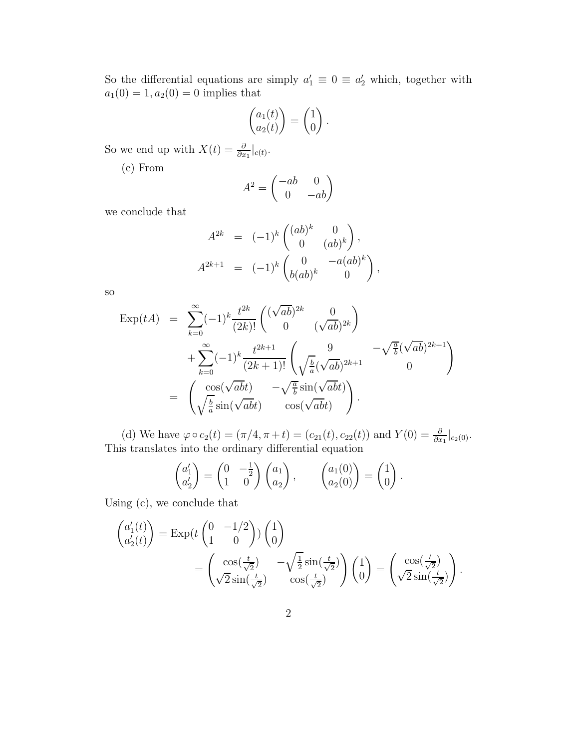So the differential equations are simply  $a'_1 \equiv 0 \equiv a'_2$  which, together with  $a_1(0) = 1, a_2(0) = 0$  implies that

$$
\begin{pmatrix} a_1(t) \\ a_2(t) \end{pmatrix} = \begin{pmatrix} 1 \\ 0 \end{pmatrix}.
$$

So we end up with  $X(t) = \frac{\partial}{\partial x_1}|_{c(t)}$ .

(c) From

$$
A^2 = \begin{pmatrix} -ab & 0\\ 0 & -ab \end{pmatrix}
$$

we conclude that

$$
A^{2k} = (-1)^k \begin{pmatrix} (ab)^k & 0 \\ 0 & (ab)^k \end{pmatrix},
$$
  

$$
A^{2k+1} = (-1)^k \begin{pmatrix} 0 & -a(ab)^k \\ b(ab)^k & 0 \end{pmatrix},
$$

so

$$
\begin{array}{rcl}\n\text{Exp}(tA) & = & \sum_{k=0}^{\infty} (-1)^k \frac{t^{2k}}{(2k)!} \begin{pmatrix} (\sqrt{ab})^{2k} & 0\\ 0 & (\sqrt{ab})^{2k} \end{pmatrix} \\
& + \sum_{k=0}^{\infty} (-1)^k \frac{t^{2k+1}}{(2k+1)!} \begin{pmatrix} 9 & -\sqrt{\frac{a}{b}} (\sqrt{ab})^{2k+1} \\ \sqrt{\frac{b}{a}} (\sqrt{ab})^{2k+1} & 0 \end{pmatrix} \\
& = & \begin{pmatrix} \cos(\sqrt{abt}) & -\sqrt{\frac{a}{b}} \sin(\sqrt{abt}) \\ \sqrt{\frac{b}{a}} \sin(\sqrt{abt}) & \cos(\sqrt{abt}) \end{pmatrix}.\n\end{array}
$$

(d) We have  $\varphi \circ c_2(t) = (\pi/4, \pi + t) = (c_{21}(t), c_{22}(t))$  and  $Y(0) = \frac{\partial}{\partial x_1}|_{c_2(0)}$ . This translates into the ordinary differential equation

$$
\begin{pmatrix} a'_1 \\ a'_2 \end{pmatrix} = \begin{pmatrix} 0 & -\frac{1}{2} \\ 1 & 0 \end{pmatrix} \begin{pmatrix} a_1 \\ a_2 \end{pmatrix}, \qquad \begin{pmatrix} a_1(0) \\ a_2(0) \end{pmatrix} = \begin{pmatrix} 1 \\ 0 \end{pmatrix}.
$$

Using (c), we conclude that

$$
\begin{pmatrix} a_1'(t) \\ a_2'(t) \end{pmatrix} = \text{Exp}(t \begin{pmatrix} 0 & -1/2 \\ 1 & 0 \end{pmatrix}) \begin{pmatrix} 1 \\ 0 \end{pmatrix}
$$

$$
= \begin{pmatrix} \cos(\frac{t}{\sqrt{2}}) & -\sqrt{\frac{1}{2}} \sin(\frac{t}{\sqrt{2}}) \\ \sqrt{2} \sin(\frac{t}{\sqrt{2}}) & \cos(\frac{t}{\sqrt{2}}) \end{pmatrix} \begin{pmatrix} 1 \\ 0 \end{pmatrix} = \begin{pmatrix} \cos(\frac{t}{\sqrt{2}}) \\ \sqrt{2} \sin(\frac{t}{\sqrt{2}}) \end{pmatrix}
$$

.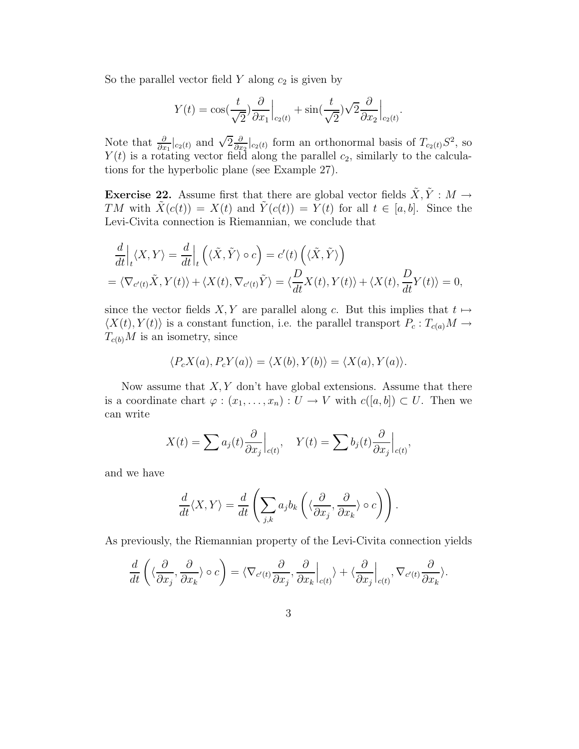So the parallel vector field  $Y$  along  $c_2$  is given by

$$
Y(t) = \cos(\frac{t}{\sqrt{2}})\frac{\partial}{\partial x_1}\Big|_{c_2(t)} + \sin(\frac{t}{\sqrt{2}})\sqrt{2}\frac{\partial}{\partial x_2}\Big|_{c_2(t)}.
$$

Note that  $\frac{\partial}{\partial x_1}|_{c_2(t)}$  and  $\sqrt{2}\frac{\partial}{\partial x}$  $\frac{\partial}{\partial x_2}\big|_{c_2(t)}$  form an orthonormal basis of  $T_{c_2(t)}S^2$ , so  $Y(t)$  is a rotating vector field along the parallel  $c_2$ , similarly to the calculations for the hyperbolic plane (see Example 27).

**Exercise 22.** Assume first that there are global vector fields  $\tilde{X}, \tilde{Y} : M \rightarrow$ TM with  $\tilde{X}(c(t)) = X(t)$  and  $\tilde{Y}(c(t)) = Y(t)$  for all  $t \in [a, b]$ . Since the Levi-Civita connection is Riemannian, we conclude that

$$
\frac{d}{dt}\Big|_{t}\langle X,Y\rangle = \frac{d}{dt}\Big|_{t}\left(\langle \tilde{X},\tilde{Y}\rangle \circ c\right) = c'(t)\left(\langle \tilde{X},\tilde{Y}\rangle\right)
$$
\n
$$
= \langle \nabla_{c'(t)}\tilde{X},Y(t)\rangle + \langle X(t),\nabla_{c'(t)}\tilde{Y}\rangle = \langle \frac{D}{dt}X(t),Y(t)\rangle + \langle X(t),\frac{D}{dt}Y(t)\rangle = 0,
$$

since the vector fields X, Y are parallel along c. But this implies that  $t \mapsto$  $\langle X(t), Y(t) \rangle$  is a constant function, i.e. the parallel transport  $P_c : T_{c(a)}M \rightarrow$  $T_{c(b)}M$  is an isometry, since

$$
\langle P_c X(a), P_c Y(a) \rangle = \langle X(b), Y(b) \rangle = \langle X(a), Y(a) \rangle.
$$

Now assume that  $X, Y$  don't have global extensions. Assume that there is a coordinate chart  $\varphi : (x_1, \ldots, x_n) : U \to V$  with  $c([a, b]) \subset U$ . Then we can write

$$
X(t) = \sum a_j(t) \frac{\partial}{\partial x_j} \Big|_{c(t)}, \quad Y(t) = \sum b_j(t) \frac{\partial}{\partial x_j} \Big|_{c(t)},
$$

and we have

$$
\frac{d}{dt}\langle X,Y\rangle = \frac{d}{dt}\left(\sum_{j,k} a_j b_k \left(\langle \frac{\partial}{\partial x_j}, \frac{\partial}{\partial x_k}\rangle \circ c\right)\right).
$$

As previously, the Riemannian property of the Levi-Civita connection yields

$$
\frac{d}{dt}\left(\langle \frac{\partial}{\partial x_j}, \frac{\partial}{\partial x_k}\rangle \circ c\right) = \langle \nabla_{c'(t)}\frac{\partial}{\partial x_j}, \frac{\partial}{\partial x_k}\Big|_{c(t)}\rangle + \langle \frac{\partial}{\partial x_j}\Big|_{c(t)}, \nabla_{c'(t)}\frac{\partial}{\partial x_k}\rangle.
$$